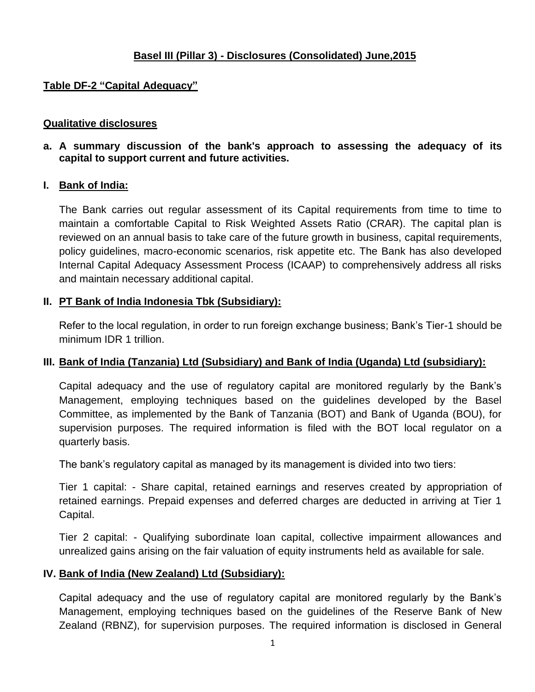# **Basel III (Pillar 3) - Disclosures (Consolidated) June,2015**

## **Table DF-2 "Capital Adequacy"**

#### **Qualitative disclosures**

**a. A summary discussion of the bank's approach to assessing the adequacy of its capital to support current and future activities.**

#### **I. Bank of India:**

The Bank carries out regular assessment of its Capital requirements from time to time to maintain a comfortable Capital to Risk Weighted Assets Ratio (CRAR). The capital plan is reviewed on an annual basis to take care of the future growth in business, capital requirements, policy guidelines, macro-economic scenarios, risk appetite etc. The Bank has also developed Internal Capital Adequacy Assessment Process (ICAAP) to comprehensively address all risks and maintain necessary additional capital.

## **II. PT Bank of India Indonesia Tbk (Subsidiary):**

Refer to the local regulation, in order to run foreign exchange business; Bank"s Tier-1 should be minimum IDR 1 trillion.

## **III. Bank of India (Tanzania) Ltd (Subsidiary) and Bank of India (Uganda) Ltd (subsidiary):**

Capital adequacy and the use of regulatory capital are monitored regularly by the Bank"s Management, employing techniques based on the guidelines developed by the Basel Committee, as implemented by the Bank of Tanzania (BOT) and Bank of Uganda (BOU), for supervision purposes. The required information is filed with the BOT local regulator on a quarterly basis.

The bank"s regulatory capital as managed by its management is divided into two tiers:

Tier 1 capital: - Share capital, retained earnings and reserves created by appropriation of retained earnings. Prepaid expenses and deferred charges are deducted in arriving at Tier 1 Capital.

Tier 2 capital: - Qualifying subordinate loan capital, collective impairment allowances and unrealized gains arising on the fair valuation of equity instruments held as available for sale.

## **IV. Bank of India (New Zealand) Ltd (Subsidiary):**

Capital adequacy and the use of regulatory capital are monitored regularly by the Bank"s Management, employing techniques based on the guidelines of the Reserve Bank of New Zealand (RBNZ), for supervision purposes. The required information is disclosed in General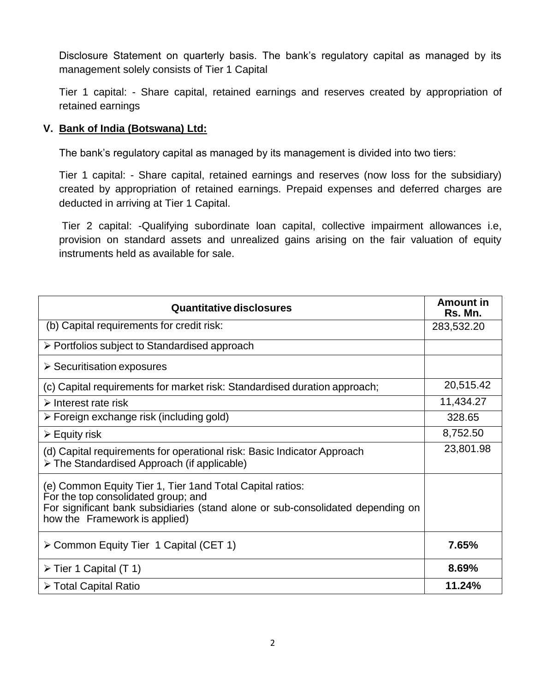Disclosure Statement on quarterly basis. The bank's regulatory capital as managed by its management solely consists of Tier 1 Capital

Tier 1 capital: - Share capital, retained earnings and reserves created by appropriation of retained earnings

## **V. Bank of India (Botswana) Ltd:**

The bank"s regulatory capital as managed by its management is divided into two tiers:

Tier 1 capital: - Share capital, retained earnings and reserves (now loss for the subsidiary) created by appropriation of retained earnings. Prepaid expenses and deferred charges are deducted in arriving at Tier 1 Capital.

Tier 2 capital: -Qualifying subordinate loan capital, collective impairment allowances i.e, provision on standard assets and unrealized gains arising on the fair valuation of equity instruments held as available for sale.

| <b>Quantitative disclosures</b>                                                                                                                                                                                       | <b>Amount in</b><br>Rs. Mn. |
|-----------------------------------------------------------------------------------------------------------------------------------------------------------------------------------------------------------------------|-----------------------------|
| (b) Capital requirements for credit risk:                                                                                                                                                                             | 283,532.20                  |
| $\triangleright$ Portfolios subject to Standardised approach                                                                                                                                                          |                             |
| $\triangleright$ Securitisation exposures                                                                                                                                                                             |                             |
| (c) Capital requirements for market risk: Standardised duration approach;                                                                                                                                             | 20,515.42                   |
| $\triangleright$ Interest rate risk                                                                                                                                                                                   | 11,434.27                   |
| $\triangleright$ Foreign exchange risk (including gold)                                                                                                                                                               | 328.65                      |
| $\triangleright$ Equity risk                                                                                                                                                                                          | 8,752.50                    |
| (d) Capital requirements for operational risk: Basic Indicator Approach<br>> The Standardised Approach (if applicable)                                                                                                | 23,801.98                   |
| (e) Common Equity Tier 1, Tier 1 and Total Capital ratios:<br>For the top consolidated group; and<br>For significant bank subsidiaries (stand alone or sub-consolidated depending on<br>how the Framework is applied) |                             |
| ≻ Common Equity Tier 1 Capital (CET 1)                                                                                                                                                                                | 7.65%                       |
| $\triangleright$ Tier 1 Capital (T 1)                                                                                                                                                                                 | 8.69%                       |
| ≻ Total Capital Ratio                                                                                                                                                                                                 | 11.24%                      |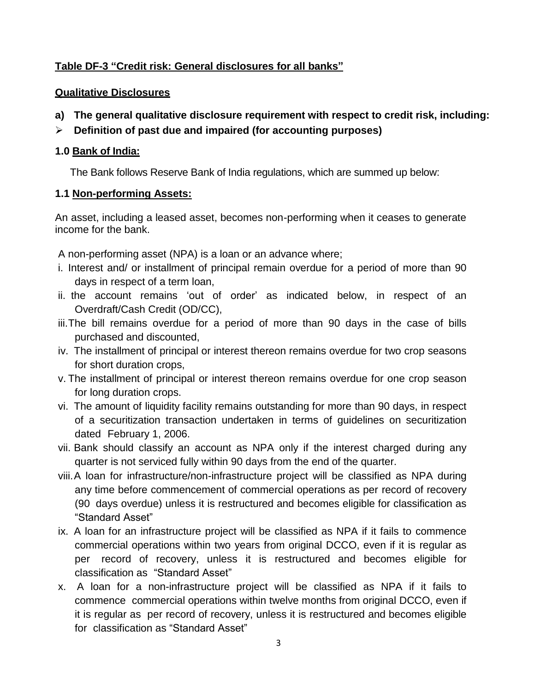## **Table DF-3 "Credit risk: General disclosures for all banks"**

#### **Qualitative Disclosures**

- **a) The general qualitative disclosure requirement with respect to credit risk, including:**
- **Definition of past due and impaired (for accounting purposes)**

#### **1.0 Bank of India:**

The Bank follows Reserve Bank of India regulations, which are summed up below:

#### **1.1 Non-performing Assets:**

An asset, including a leased asset, becomes non-performing when it ceases to generate income for the bank.

A non-performing asset (NPA) is a loan or an advance where;

- i. Interest and/ or installment of principal remain overdue for a period of more than 90 days in respect of a term loan,
- ii. the account remains "out of order" as indicated below, in respect of an Overdraft/Cash Credit (OD/CC),
- iii.The bill remains overdue for a period of more than 90 days in the case of bills purchased and discounted,
- iv. The installment of principal or interest thereon remains overdue for two crop seasons for short duration crops,
- v. The installment of principal or interest thereon remains overdue for one crop season for long duration crops.
- vi. The amount of liquidity facility remains outstanding for more than 90 days, in respect of a securitization transaction undertaken in terms of guidelines on securitization dated February 1, 2006.
- vii. Bank should classify an account as NPA only if the interest charged during any quarter is not serviced fully within 90 days from the end of the quarter.
- viii.A loan for infrastructure/non-infrastructure project will be classified as NPA during any time before commencement of commercial operations as per record of recovery (90 days overdue) unless it is restructured and becomes eligible for classification as "Standard Asset"
- ix. A loan for an infrastructure project will be classified as NPA if it fails to commence commercial operations within two years from original DCCO, even if it is regular as per record of recovery, unless it is restructured and becomes eligible for classification as "Standard Asset"
- x. A loan for a non-infrastructure project will be classified as NPA if it fails to commence commercial operations within twelve months from original DCCO, even if it is regular as per record of recovery, unless it is restructured and becomes eligible for classification as "Standard Asset"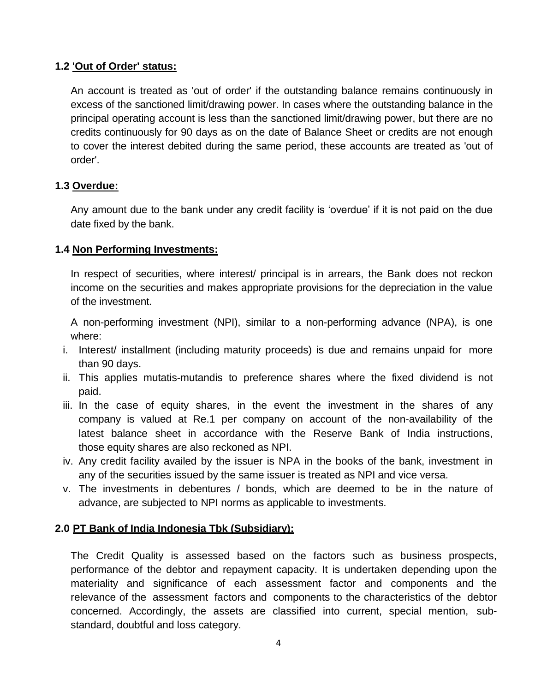## **1.2 'Out of Order' status:**

An account is treated as 'out of order' if the outstanding balance remains continuously in excess of the sanctioned limit/drawing power. In cases where the outstanding balance in the principal operating account is less than the sanctioned limit/drawing power, but there are no credits continuously for 90 days as on the date of Balance Sheet or credits are not enough to cover the interest debited during the same period, these accounts are treated as 'out of order'.

#### **1.3 Overdue:**

Any amount due to the bank under any credit facility is "overdue" if it is not paid on the due date fixed by the bank.

#### **1.4 Non Performing Investments:**

In respect of securities, where interest/ principal is in arrears, the Bank does not reckon income on the securities and makes appropriate provisions for the depreciation in the value of the investment.

A non-performing investment (NPI), similar to a non-performing advance (NPA), is one where:

- i. Interest/ installment (including maturity proceeds) is due and remains unpaid for more than 90 days.
- ii. This applies mutatis-mutandis to preference shares where the fixed dividend is not paid.
- iii. In the case of equity shares, in the event the investment in the shares of any company is valued at Re.1 per company on account of the non-availability of the latest balance sheet in accordance with the Reserve Bank of India instructions, those equity shares are also reckoned as NPI.
- iv. Any credit facility availed by the issuer is NPA in the books of the bank, investment in any of the securities issued by the same issuer is treated as NPI and vice versa.
- v. The investments in debentures / bonds, which are deemed to be in the nature of advance, are subjected to NPI norms as applicable to investments.

## **2.0 PT Bank of India Indonesia Tbk (Subsidiary):**

The Credit Quality is assessed based on the factors such as business prospects, performance of the debtor and repayment capacity. It is undertaken depending upon the materiality and significance of each assessment factor and components and the relevance of the assessment factors and components to the characteristics of the debtor concerned. Accordingly, the assets are classified into current, special mention, substandard, doubtful and loss category.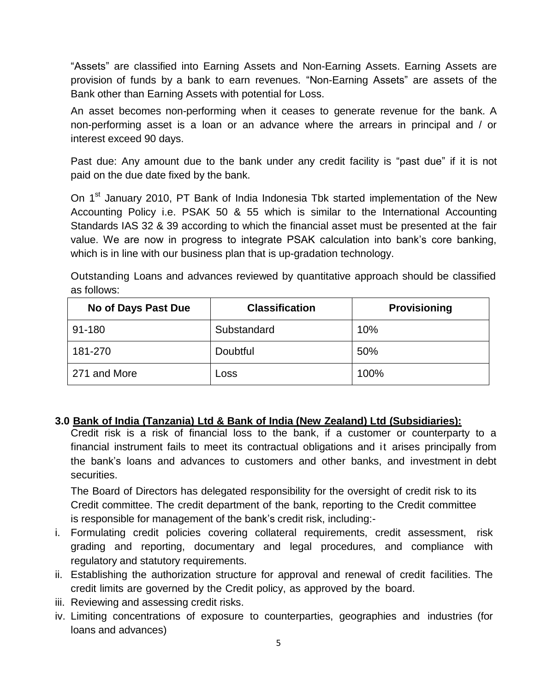"Assets" are classified into Earning Assets and Non-Earning Assets. Earning Assets are provision of funds by a bank to earn revenues. "Non-Earning Assets" are assets of the Bank other than Earning Assets with potential for Loss.

An asset becomes non-performing when it ceases to generate revenue for the bank. A non-performing asset is a loan or an advance where the arrears in principal and / or interest exceed 90 days.

Past due: Any amount due to the bank under any credit facility is "past due" if it is not paid on the due date fixed by the bank.

On 1<sup>st</sup> January 2010, PT Bank of India Indonesia Tbk started implementation of the New Accounting Policy i.e. PSAK 50 & 55 which is similar to the International Accounting Standards IAS 32 & 39 according to which the financial asset must be presented at the fair value. We are now in progress to integrate PSAK calculation into bank"s core banking, which is in line with our business plan that is up-gradation technology.

Outstanding Loans and advances reviewed by quantitative approach should be classified as follows:

| No of Days Past Due | <b>Classification</b> | <b>Provisioning</b> |
|---------------------|-----------------------|---------------------|
| 91-180              | Substandard           | 10%                 |
| 181-270             | Doubtful              | 50%                 |
| 271 and More        | Loss                  | 100%                |

## **3.0 Bank of India (Tanzania) Ltd & Bank of India (New Zealand) Ltd (Subsidiaries):**

Credit risk is a risk of financial loss to the bank, if a customer or counterparty to a financial instrument fails to meet its contractual obligations and it arises principally from the bank"s loans and advances to customers and other banks, and investment in debt securities.

The Board of Directors has delegated responsibility for the oversight of credit risk to its Credit committee. The credit department of the bank, reporting to the Credit committee is responsible for management of the bank"s credit risk, including:-

- i. Formulating credit policies covering collateral requirements, credit assessment, risk grading and reporting, documentary and legal procedures, and compliance with regulatory and statutory requirements.
- ii. Establishing the authorization structure for approval and renewal of credit facilities. The credit limits are governed by the Credit policy, as approved by the board.
- iii. Reviewing and assessing credit risks.
- iv. Limiting concentrations of exposure to counterparties, geographies and industries (for loans and advances)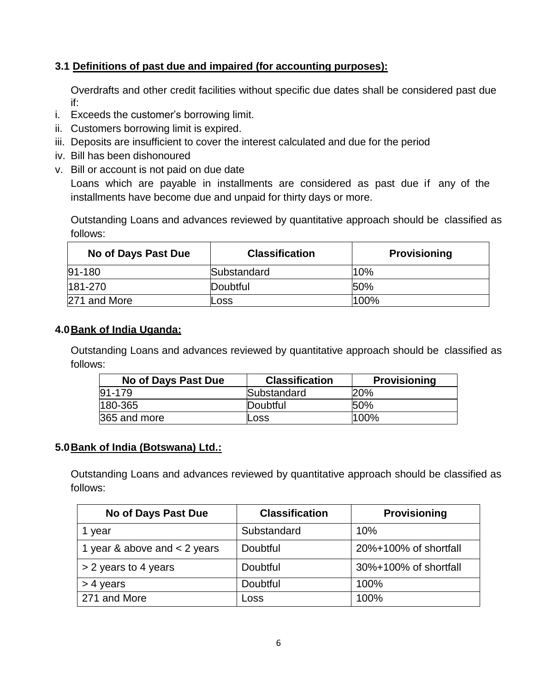# **3.1 Definitions of past due and impaired (for accounting purposes):**

Overdrafts and other credit facilities without specific due dates shall be considered past due if:

- i. Exceeds the customer"s borrowing limit.
- ii. Customers borrowing limit is expired.
- iii. Deposits are insufficient to cover the interest calculated and due for the period
- iv. Bill has been dishonoured
- v. Bill or account is not paid on due date

Loans which are payable in installments are considered as past due if any of the installments have become due and unpaid for thirty days or more.

Outstanding Loans and advances reviewed by quantitative approach should be classified as follows:

| No of Days Past Due | <b>Classification</b> | <b>Provisioning</b> |
|---------------------|-----------------------|---------------------|
| $91 - 180$          | Substandard           | 10%                 |
| 181-270             | Doubtful              | <b>50%</b>          |
| 271 and More        | LOSS                  | 100%                |

## **4.0Bank of India Uganda:**

Outstanding Loans and advances reviewed by quantitative approach should be classified as follows:

| No of Days Past Due | <b>Classification</b> | <b>Provisioning</b> |
|---------------------|-----------------------|---------------------|
| 91-179              | Substandard           | 20%                 |
| 180-365             | Doubtful              | 50%                 |
| 365 and more        | Loss                  | 100%                |

## **5.0Bank of India (Botswana) Ltd.:**

Outstanding Loans and advances reviewed by quantitative approach should be classified as follows:

| No of Days Past Due            | <b>Classification</b> | <b>Provisioning</b>   |
|--------------------------------|-----------------------|-----------------------|
| 1 year                         | Substandard           | 10%                   |
| 1 year & above and $<$ 2 years | Doubtful              | 20%+100% of shortfall |
| > 2 years to 4 years           | Doubtful              | 30%+100% of shortfall |
| > 4 years                      | Doubtful              | 100%                  |
| 271 and More                   | Loss                  | 100%                  |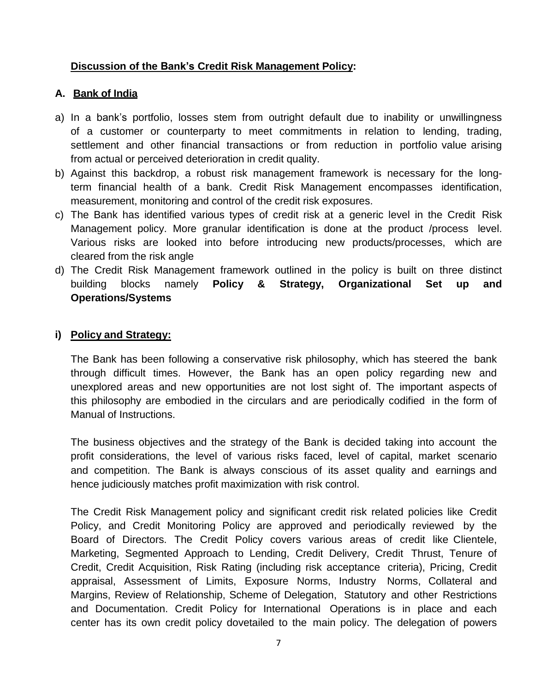## **Discussion of the Bank's Credit Risk Management Policy:**

## **A. Bank of India**

- a) In a bank"s portfolio, losses stem from outright default due to inability or unwillingness of a customer or counterparty to meet commitments in relation to lending, trading, settlement and other financial transactions or from reduction in portfolio value arising from actual or perceived deterioration in credit quality.
- b) Against this backdrop, a robust risk management framework is necessary for the longterm financial health of a bank. Credit Risk Management encompasses identification, measurement, monitoring and control of the credit risk exposures.
- c) The Bank has identified various types of credit risk at a generic level in the Credit Risk Management policy. More granular identification is done at the product /process level. Various risks are looked into before introducing new products/processes, which are cleared from the risk angle
- d) The Credit Risk Management framework outlined in the policy is built on three distinct building blocks namely **Policy & Strategy, Organizational Set up and Operations/Systems**

## **i) Policy and Strategy:**

The Bank has been following a conservative risk philosophy, which has steered the bank through difficult times. However, the Bank has an open policy regarding new and unexplored areas and new opportunities are not lost sight of. The important aspects of this philosophy are embodied in the circulars and are periodically codified in the form of Manual of Instructions.

The business objectives and the strategy of the Bank is decided taking into account the profit considerations, the level of various risks faced, level of capital, market scenario and competition. The Bank is always conscious of its asset quality and earnings and hence judiciously matches profit maximization with risk control.

The Credit Risk Management policy and significant credit risk related policies like Credit Policy, and Credit Monitoring Policy are approved and periodically reviewed by the Board of Directors. The Credit Policy covers various areas of credit like Clientele, Marketing, Segmented Approach to Lending, Credit Delivery, Credit Thrust, Tenure of Credit, Credit Acquisition, Risk Rating (including risk acceptance criteria), Pricing, Credit appraisal, Assessment of Limits, Exposure Norms, Industry Norms, Collateral and Margins, Review of Relationship, Scheme of Delegation, Statutory and other Restrictions and Documentation. Credit Policy for International Operations is in place and each center has its own credit policy dovetailed to the main policy. The delegation of powers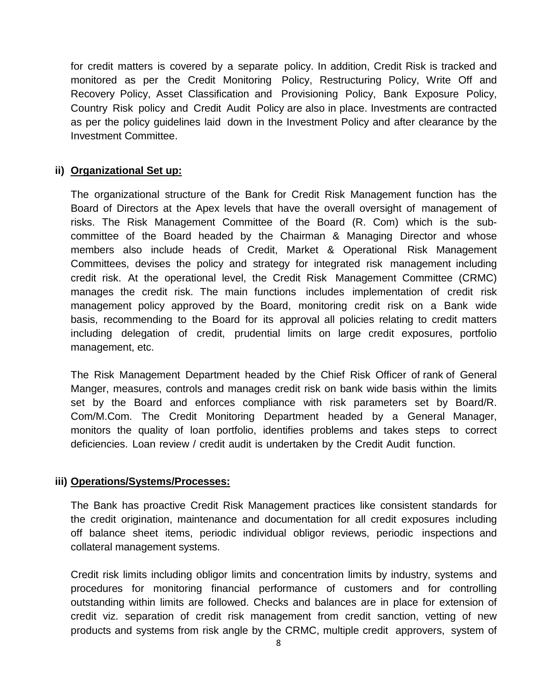for credit matters is covered by a separate policy. In addition, Credit Risk is tracked and monitored as per the Credit Monitoring Policy, Restructuring Policy, Write Off and Recovery Policy, Asset Classification and Provisioning Policy, Bank Exposure Policy, Country Risk policy and Credit Audit Policy are also in place. Investments are contracted as per the policy guidelines laid down in the Investment Policy and after clearance by the Investment Committee.

#### **ii) Organizational Set up:**

The organizational structure of the Bank for Credit Risk Management function has the Board of Directors at the Apex levels that have the overall oversight of management of risks. The Risk Management Committee of the Board (R. Com) which is the subcommittee of the Board headed by the Chairman & Managing Director and whose members also include heads of Credit, Market & Operational Risk Management Committees, devises the policy and strategy for integrated risk management including credit risk. At the operational level, the Credit Risk Management Committee (CRMC) manages the credit risk. The main functions includes implementation of credit risk management policy approved by the Board, monitoring credit risk on a Bank wide basis, recommending to the Board for its approval all policies relating to credit matters including delegation of credit, prudential limits on large credit exposures, portfolio management, etc.

The Risk Management Department headed by the Chief Risk Officer of rank of General Manger, measures, controls and manages credit risk on bank wide basis within the limits set by the Board and enforces compliance with risk parameters set by Board/R. Com/M.Com. The Credit Monitoring Department headed by a General Manager, monitors the quality of loan portfolio, identifies problems and takes steps to correct deficiencies. Loan review / credit audit is undertaken by the Credit Audit function.

#### **iii) Operations/Systems/Processes:**

The Bank has proactive Credit Risk Management practices like consistent standards for the credit origination, maintenance and documentation for all credit exposures including off balance sheet items, periodic individual obligor reviews, periodic inspections and collateral management systems.

Credit risk limits including obligor limits and concentration limits by industry, systems and procedures for monitoring financial performance of customers and for controlling outstanding within limits are followed. Checks and balances are in place for extension of credit viz. separation of credit risk management from credit sanction, vetting of new products and systems from risk angle by the CRMC, multiple credit approvers, system of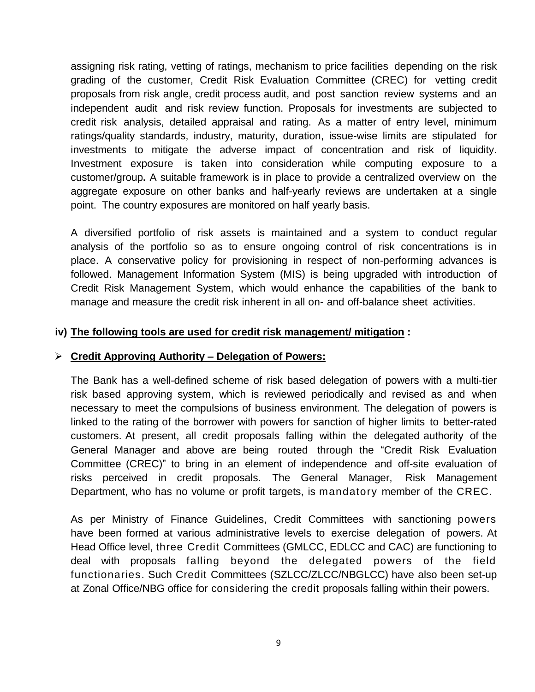assigning risk rating, vetting of ratings, mechanism to price facilities depending on the risk grading of the customer, Credit Risk Evaluation Committee (CREC) for vetting credit proposals from risk angle, credit process audit, and post sanction review systems and an independent audit and risk review function. Proposals for investments are subjected to credit risk analysis, detailed appraisal and rating. As a matter of entry level, minimum ratings/quality standards, industry, maturity, duration, issue-wise limits are stipulated for investments to mitigate the adverse impact of concentration and risk of liquidity. Investment exposure is taken into consideration while computing exposure to a customer/group**.** A suitable framework is in place to provide a centralized overview on the aggregate exposure on other banks and half-yearly reviews are undertaken at a single point. The country exposures are monitored on half yearly basis.

A diversified portfolio of risk assets is maintained and a system to conduct regular analysis of the portfolio so as to ensure ongoing control of risk concentrations is in place. A conservative policy for provisioning in respect of non-performing advances is followed. Management Information System (MIS) is being upgraded with introduction of Credit Risk Management System, which would enhance the capabilities of the bank to manage and measure the credit risk inherent in all on- and off-balance sheet activities.

#### **iv) The following tools are used for credit risk management/ mitigation :**

#### **Credit Approving Authority – Delegation of Powers:**

The Bank has a well-defined scheme of risk based delegation of powers with a multi-tier risk based approving system, which is reviewed periodically and revised as and when necessary to meet the compulsions of business environment. The delegation of powers is linked to the rating of the borrower with powers for sanction of higher limits to better-rated customers. At present, all credit proposals falling within the delegated authority of the General Manager and above are being routed through the "Credit Risk Evaluation Committee (CREC)" to bring in an element of independence and off-site evaluation of risks perceived in credit proposals. The General Manager, Risk Management Department, who has no volume or profit targets, is mandatory member of the CREC.

As per Ministry of Finance Guidelines, Credit Committees with sanctioning powers have been formed at various administrative levels to exercise delegation of powers. At Head Office level, three Credit Committees (GMLCC, EDLCC and CAC) are functioning to deal with proposals falling beyond the delegated powers of the field functionaries. Such Credit Committees (SZLCC/ZLCC/NBGLCC) have also been set-up at Zonal Office/NBG office for considering the credit proposals falling within their powers.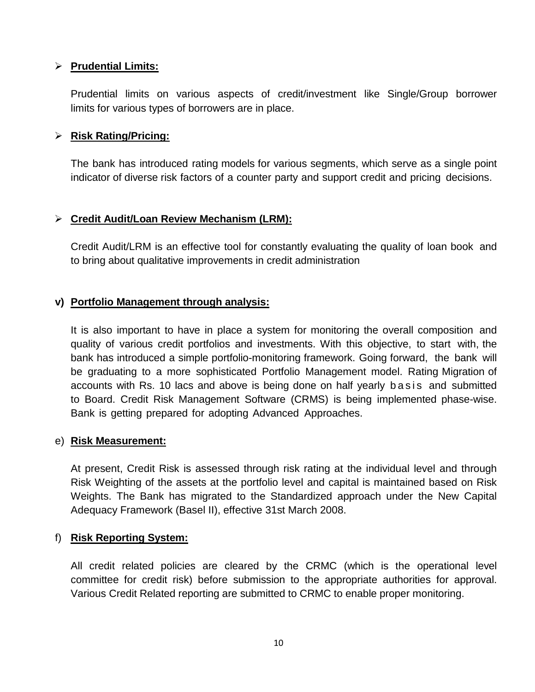## **Prudential Limits:**

Prudential limits on various aspects of credit/investment like Single/Group borrower limits for various types of borrowers are in place.

#### **Risk Rating/Pricing:**

The bank has introduced rating models for various segments, which serve as a single point indicator of diverse risk factors of a counter party and support credit and pricing decisions.

## **Credit Audit/Loan Review Mechanism (LRM):**

Credit Audit/LRM is an effective tool for constantly evaluating the quality of loan book and to bring about qualitative improvements in credit administration

## **v) Portfolio Management through analysis:**

It is also important to have in place a system for monitoring the overall composition and quality of various credit portfolios and investments. With this objective, to start with, the bank has introduced a simple portfolio-monitoring framework. Going forward, the bank will be graduating to a more sophisticated Portfolio Management model. Rating Migration of accounts with Rs. 10 lacs and above is being done on half yearly b a s is and submitted to Board. Credit Risk Management Software (CRMS) is being implemented phase-wise. Bank is getting prepared for adopting Advanced Approaches.

#### e) **Risk Measurement:**

At present, Credit Risk is assessed through risk rating at the individual level and through Risk Weighting of the assets at the portfolio level and capital is maintained based on Risk Weights. The Bank has migrated to the Standardized approach under the New Capital Adequacy Framework (Basel II), effective 31st March 2008.

#### f) **Risk Reporting System:**

All credit related policies are cleared by the CRMC (which is the operational level committee for credit risk) before submission to the appropriate authorities for approval. Various Credit Related reporting are submitted to CRMC to enable proper monitoring.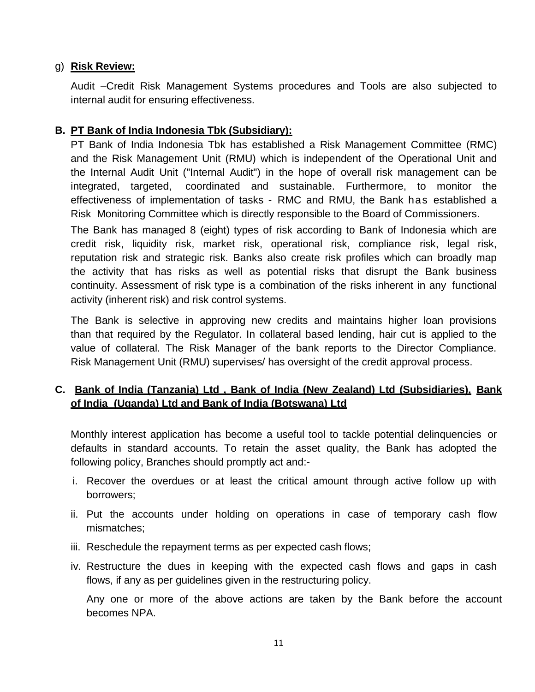## g) **Risk Review:**

Audit –Credit Risk Management Systems procedures and Tools are also subjected to internal audit for ensuring effectiveness.

## **B. PT Bank of India Indonesia Tbk (Subsidiary):**

PT Bank of India Indonesia Tbk has established a Risk Management Committee (RMC) and the Risk Management Unit (RMU) which is independent of the Operational Unit and the Internal Audit Unit ("Internal Audit") in the hope of overall risk management can be integrated, targeted, coordinated and sustainable. Furthermore, to monitor the effectiveness of implementation of tasks - RMC and RMU, the Bank has established a Risk Monitoring Committee which is directly responsible to the Board of Commissioners.

The Bank has managed 8 (eight) types of risk according to Bank of Indonesia which are credit risk, liquidity risk, market risk, operational risk, compliance risk, legal risk, reputation risk and strategic risk. Banks also create risk profiles which can broadly map the activity that has risks as well as potential risks that disrupt the Bank business continuity. Assessment of risk type is a combination of the risks inherent in any functional activity (inherent risk) and risk control systems.

The Bank is selective in approving new credits and maintains higher loan provisions than that required by the Regulator. In collateral based lending, hair cut is applied to the value of collateral. The Risk Manager of the bank reports to the Director Compliance. Risk Management Unit (RMU) supervises/ has oversight of the credit approval process.

# **C. Bank of India (Tanzania) Ltd , Bank of India (New Zealand) Ltd (Subsidiaries), Bank of India (Uganda) Ltd and Bank of India (Botswana) Ltd**

Monthly interest application has become a useful tool to tackle potential delinquencies or defaults in standard accounts. To retain the asset quality, the Bank has adopted the following policy, Branches should promptly act and:-

- i. Recover the overdues or at least the critical amount through active follow up with borrowers;
- ii. Put the accounts under holding on operations in case of temporary cash flow mismatches;
- iii. Reschedule the repayment terms as per expected cash flows;
- iv. Restructure the dues in keeping with the expected cash flows and gaps in cash flows, if any as per guidelines given in the restructuring policy.

Any one or more of the above actions are taken by the Bank before the account becomes NPA.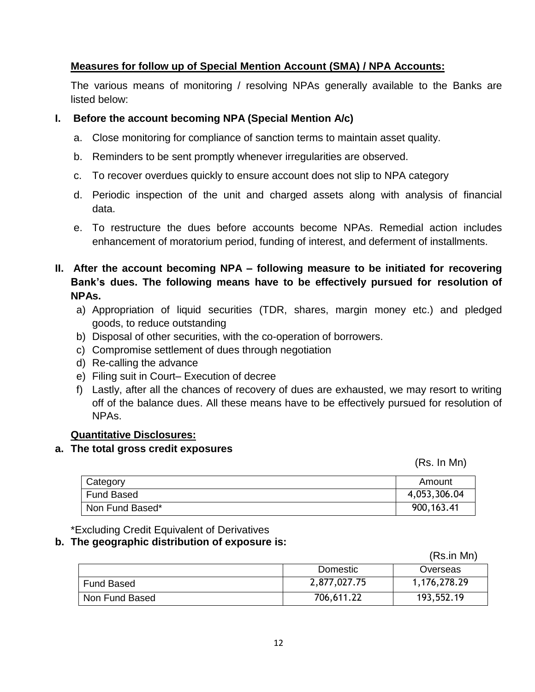## **Measures for follow up of Special Mention Account (SMA) / NPA Accounts:**

The various means of monitoring / resolving NPAs generally available to the Banks are listed below:

#### **I. Before the account becoming NPA (Special Mention A/c)**

- a. Close monitoring for compliance of sanction terms to maintain asset quality.
- b. Reminders to be sent promptly whenever irregularities are observed.
- c. To recover overdues quickly to ensure account does not slip to NPA category
- d. Periodic inspection of the unit and charged assets along with analysis of financial data.
- e. To restructure the dues before accounts become NPAs. Remedial action includes enhancement of moratorium period, funding of interest, and deferment of installments.
- **II. After the account becoming NPA – following measure to be initiated for recovering Bank's dues. The following means have to be effectively pursued for resolution of NPAs.**
	- a) Appropriation of liquid securities (TDR, shares, margin money etc.) and pledged goods, to reduce outstanding
	- b) Disposal of other securities, with the co-operation of borrowers.
	- c) Compromise settlement of dues through negotiation
	- d) Re-calling the advance
	- e) Filing suit in Court– Execution of decree
	- f) Lastly, after all the chances of recovery of dues are exhausted, we may resort to writing off of the balance dues. All these means have to be effectively pursued for resolution of NPAs.

#### **Quantitative Disclosures:**

#### **a. The total gross credit exposures**

(Rs. In Mn)

| Category          | Amount       |
|-------------------|--------------|
| <b>Fund Based</b> | 4,053,306.04 |
| Non Fund Based*   | 900, 163.41  |

\*Excluding Credit Equivalent of Derivatives

#### **b. The geographic distribution of exposure is:**

(Rs.in Mn)

|                | Domestic     | Overseas     |
|----------------|--------------|--------------|
| Fund Based     | 2,877,027.75 | 1,176,278.29 |
| Non Fund Based | 706,611.22   | 193,552.19   |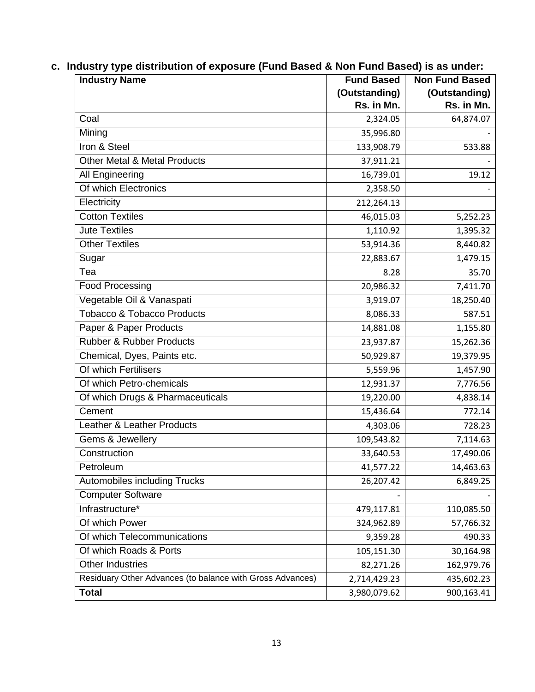|  |  |  |  | c. Industry type distribution of exposure (Fund Based & Non Fund Based) is as under: |
|--|--|--|--|--------------------------------------------------------------------------------------|
|--|--|--|--|--------------------------------------------------------------------------------------|

| <b>Industry Name</b>                                      | <b>Fund Based</b> | <b>Non Fund Based</b> |
|-----------------------------------------------------------|-------------------|-----------------------|
|                                                           | (Outstanding)     | (Outstanding)         |
|                                                           | Rs. in Mn.        | Rs. in Mn.            |
| Coal                                                      | 2,324.05          | 64,874.07             |
| Mining                                                    | 35,996.80         |                       |
| Iron & Steel                                              | 133,908.79        | 533.88                |
| <b>Other Metal &amp; Metal Products</b>                   | 37,911.21         |                       |
| All Engineering                                           | 16,739.01         | 19.12                 |
| Of which Electronics                                      | 2,358.50          |                       |
| Electricity                                               | 212,264.13        |                       |
| <b>Cotton Textiles</b>                                    | 46,015.03         | 5,252.23              |
| <b>Jute Textiles</b>                                      | 1,110.92          | 1,395.32              |
| <b>Other Textiles</b>                                     | 53,914.36         | 8,440.82              |
| Sugar                                                     | 22,883.67         | 1,479.15              |
| Tea                                                       | 8.28              | 35.70                 |
| <b>Food Processing</b>                                    | 20,986.32         | 7,411.70              |
| Vegetable Oil & Vanaspati                                 | 3,919.07          | 18,250.40             |
| <b>Tobacco &amp; Tobacco Products</b>                     | 8,086.33          | 587.51                |
| Paper & Paper Products                                    | 14,881.08         | 1,155.80              |
| <b>Rubber &amp; Rubber Products</b>                       | 23,937.87         | 15,262.36             |
| Chemical, Dyes, Paints etc.                               | 50,929.87         | 19,379.95             |
| Of which Fertilisers                                      | 5,559.96          | 1,457.90              |
| Of which Petro-chemicals                                  | 12,931.37         | 7,776.56              |
| Of which Drugs & Pharmaceuticals                          | 19,220.00         | 4,838.14              |
| Cement                                                    | 15,436.64         | 772.14                |
| Leather & Leather Products                                | 4,303.06          | 728.23                |
| Gems & Jewellery                                          | 109,543.82        | 7,114.63              |
| Construction                                              | 33,640.53         | 17,490.06             |
| Petroleum                                                 | 41,577.22         | 14,463.63             |
| <b>Automobiles including Trucks</b>                       | 26,207.42         | 6,849.25              |
| <b>Computer Software</b>                                  |                   |                       |
| Infrastructure*                                           | 479,117.81        | 110,085.50            |
| Of which Power                                            | 324,962.89        | 57,766.32             |
| Of which Telecommunications                               | 9,359.28          | 490.33                |
| Of which Roads & Ports                                    | 105,151.30        | 30,164.98             |
| <b>Other Industries</b>                                   | 82,271.26         | 162,979.76            |
| Residuary Other Advances (to balance with Gross Advances) | 2,714,429.23      | 435,602.23            |
| <b>Total</b>                                              | 3,980,079.62      | 900,163.41            |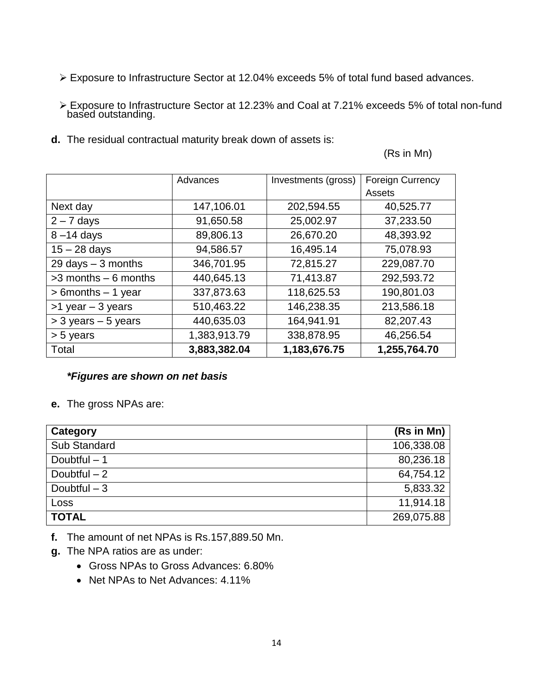- Exposure to Infrastructure Sector at 12.04% exceeds 5% of total fund based advances.
- Exposure to Infrastructure Sector at 12.23% and Coal at 7.21% exceeds 5% of total non-fund based outstanding.
- **d.** The residual contractual maturity break down of assets is:

(Rs in Mn)

|                         | Advances     | Investments (gross) | <b>Foreign Currency</b> |
|-------------------------|--------------|---------------------|-------------------------|
|                         |              |                     | Assets                  |
| Next day                | 147,106.01   | 202,594.55          | 40,525.77               |
| $2 - 7$ days            | 91,650.58    | 25,002.97           | 37,233.50               |
| $8 - 14$ days           | 89,806.13    | 26,670.20           | 48,393.92               |
| $15 - 28$ days          | 94,586.57    | 16,495.14           | 75,078.93               |
| 29 days $-3$ months     | 346,701.95   | 72,815.27           | 229,087.70              |
| $>3$ months $-6$ months | 440,645.13   | 71,413.87           | 292,593.72              |
| > 6months - 1 year      | 337,873.63   | 118,625.53          | 190,801.03              |
| $>1$ year $-3$ years    | 510,463.22   | 146,238.35          | 213,586.18              |
| $>$ 3 years $-$ 5 years | 440,635.03   | 164,941.91          | 82,207.43               |
| > 5 years               | 1,383,913.79 | 338,878.95          | 46,256.54               |
| Total                   | 3,883,382.04 | 1,183,676.75        | 1,255,764.70            |

#### *\*Figures are shown on net basis*

**e.** The gross NPAs are:

| Category      | (Rs in Mn) |
|---------------|------------|
| Sub Standard  | 106,338.08 |
| Doubtful $-1$ | 80,236.18  |
| Doubtful $-2$ | 64,754.12  |
| Doubtful $-3$ | 5,833.32   |
| Loss          | 11,914.18  |
| <b>TOTAL</b>  | 269,075.88 |

- **f.** The amount of net NPAs is Rs.157,889.50 Mn.
- **g.** The NPA ratios are as under:
	- Gross NPAs to Gross Advances: 6.80%
	- Net NPAs to Net Advances: 4.11%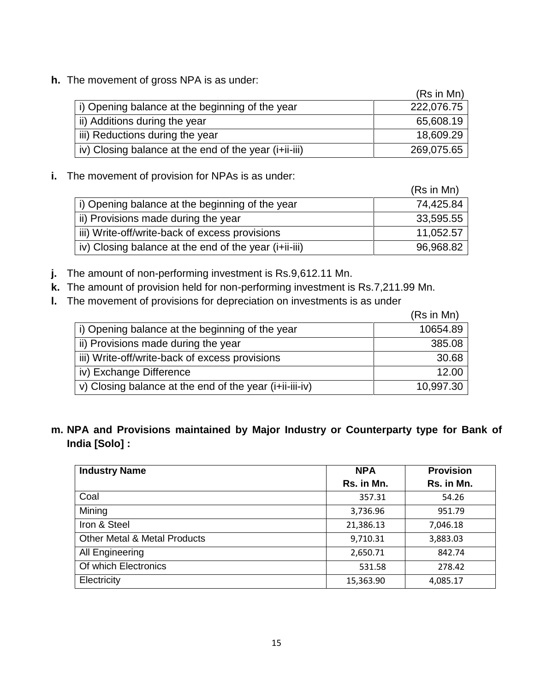**h.** The movement of gross NPA is as under:

|                                                       | (Rs in Mn) |
|-------------------------------------------------------|------------|
| i) Opening balance at the beginning of the year       | 222,076.75 |
| ii) Additions during the year                         | 65,608.19  |
| iii) Reductions during the year                       | 18,609.29  |
| iv) Closing balance at the end of the year (i+ii-iii) | 269,075.65 |

**i.** The movement of provision for NPAs is as under:

|                                                       | (Rs in Mn) |
|-------------------------------------------------------|------------|
| i) Opening balance at the beginning of the year       | 74,425.84  |
| ii) Provisions made during the year                   | 33,595.55  |
| iii) Write-off/write-back of excess provisions        | 11,052.57  |
| iv) Closing balance at the end of the year (i+ii-iii) | 96,968.82  |

- **j.** The amount of non-performing investment is Rs.9,612.11 Mn.
- **k.** The amount of provision held for non-performing investment is Rs.7,211.99 Mn.
- **l.** The movement of provisions for depreciation on investments is as under

|                                                         | (Rs in Mn) |
|---------------------------------------------------------|------------|
| i) Opening balance at the beginning of the year         | 10654.89   |
| ii) Provisions made during the year                     | 385.08     |
| iii) Write-off/write-back of excess provisions          | 30.68      |
| iv) Exchange Difference                                 | 12.00      |
| v) Closing balance at the end of the year (i+ii-iii-iv) | 10,997.30  |

**m. NPA and Provisions maintained by Major Industry or Counterparty type for Bank of India [Solo] :**

| <b>Industry Name</b>                    | <b>NPA</b> | <b>Provision</b> |
|-----------------------------------------|------------|------------------|
|                                         | Rs. in Mn. | Rs. in Mn.       |
| Coal                                    | 357.31     | 54.26            |
| Mining                                  | 3,736.96   | 951.79           |
| Iron & Steel                            | 21,386.13  | 7,046.18         |
| <b>Other Metal &amp; Metal Products</b> | 9,710.31   | 3,883.03         |
| All Engineering                         | 2,650.71   | 842.74           |
| Of which Electronics                    | 531.58     | 278.42           |
| Electricity                             | 15,363.90  | 4,085.17         |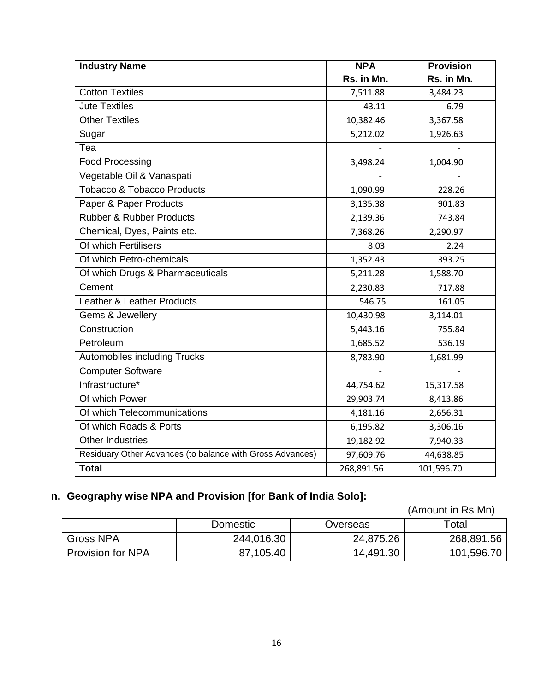| <b>Industry Name</b>                                      | <b>NPA</b> | <b>Provision</b> |
|-----------------------------------------------------------|------------|------------------|
|                                                           | Rs. in Mn. | Rs. in Mn.       |
| <b>Cotton Textiles</b>                                    | 7,511.88   | 3,484.23         |
| <b>Jute Textiles</b>                                      | 43.11      | 6.79             |
| <b>Other Textiles</b>                                     | 10,382.46  | 3,367.58         |
| Sugar                                                     | 5,212.02   | 1,926.63         |
| $\overline{\text{Tea}}$                                   |            |                  |
| <b>Food Processing</b>                                    | 3,498.24   | 1,004.90         |
| Vegetable Oil & Vanaspati                                 |            |                  |
| <b>Tobacco &amp; Tobacco Products</b>                     | 1,090.99   | 228.26           |
| Paper & Paper Products                                    | 3,135.38   | 901.83           |
| <b>Rubber &amp; Rubber Products</b>                       | 2,139.36   | 743.84           |
| Chemical, Dyes, Paints etc.                               | 7,368.26   | 2,290.97         |
| Of which Fertilisers                                      | 8.03       | 2.24             |
| Of which Petro-chemicals                                  | 1,352.43   | 393.25           |
| Of which Drugs & Pharmaceuticals                          | 5,211.28   | 1,588.70         |
| Cement                                                    | 2,230.83   | 717.88           |
| <b>Leather &amp; Leather Products</b>                     | 546.75     | 161.05           |
| Gems & Jewellery                                          | 10,430.98  | 3,114.01         |
| Construction                                              | 5,443.16   | 755.84           |
| Petroleum                                                 | 1,685.52   | 536.19           |
| Automobiles including Trucks                              | 8,783.90   | 1,681.99         |
| <b>Computer Software</b>                                  |            |                  |
| Infrastructure*                                           | 44,754.62  | 15,317.58        |
| Of which Power                                            | 29,903.74  | 8,413.86         |
| Of which Telecommunications                               | 4,181.16   | 2,656.31         |
| Of which Roads & Ports                                    | 6,195.82   | 3,306.16         |
| <b>Other Industries</b>                                   | 19,182.92  | 7,940.33         |
| Residuary Other Advances (to balance with Gross Advances) | 97,609.76  | 44,638.85        |
| <b>Total</b>                                              | 268,891.56 | 101,596.70       |

# **n. Geography wise NPA and Provision [for Bank of India Solo]:**

|                          |            |           | (Amount in Rs Mn) |
|--------------------------|------------|-----------|-------------------|
|                          | Domestic   | Overseas  | Total             |
| Gross NPA                | 244,016.30 | 24,875.26 | 268,891.56        |
| <b>Provision for NPA</b> | 87,105.40  | 14,491.30 | 101,596.70        |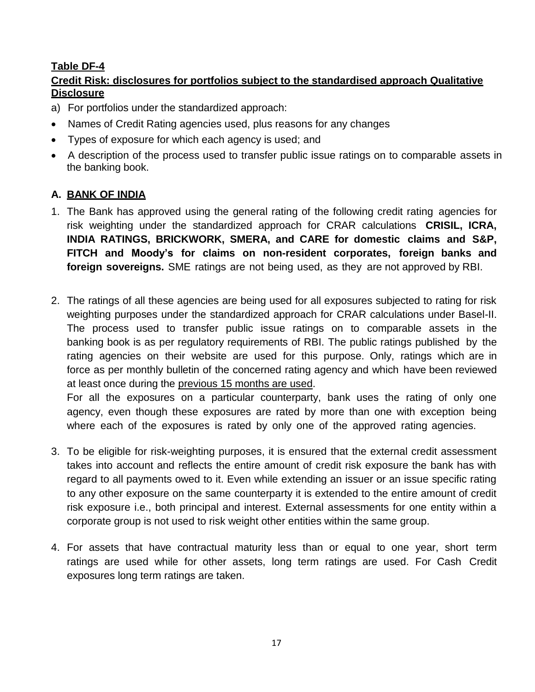# **Table DF-4**

# **Credit Risk: disclosures for portfolios subject to the standardised approach Qualitative Disclosure**

- a) For portfolios under the standardized approach:
- Names of Credit Rating agencies used, plus reasons for any changes
- Types of exposure for which each agency is used; and
- A description of the process used to transfer public issue ratings on to comparable assets in the banking book.

# **A. BANK OF INDIA**

- 1. The Bank has approved using the general rating of the following credit rating agencies for risk weighting under the standardized approach for CRAR calculations **CRISIL, ICRA, INDIA RATINGS, BRICKWORK, SMERA, and CARE for domestic claims and S&P, FITCH and Moody's for claims on non-resident corporates, foreign banks and foreign sovereigns.** SME ratings are not being used, as they are not approved by RBI.
- 2. The ratings of all these agencies are being used for all exposures subjected to rating for risk weighting purposes under the standardized approach for CRAR calculations under Basel-II. The process used to transfer public issue ratings on to comparable assets in the banking book is as per regulatory requirements of RBI. The public ratings published by the rating agencies on their website are used for this purpose. Only, ratings which are in force as per monthly bulletin of the concerned rating agency and which have been reviewed at least once during the previous 15 months are used.

For all the exposures on a particular counterparty, bank uses the rating of only one agency, even though these exposures are rated by more than one with exception being where each of the exposures is rated by only one of the approved rating agencies.

- 3. To be eligible for risk-weighting purposes, it is ensured that the external credit assessment takes into account and reflects the entire amount of credit risk exposure the bank has with regard to all payments owed to it. Even while extending an issuer or an issue specific rating to any other exposure on the same counterparty it is extended to the entire amount of credit risk exposure i.e., both principal and interest. External assessments for one entity within a corporate group is not used to risk weight other entities within the same group.
- 4. For assets that have contractual maturity less than or equal to one year, short term ratings are used while for other assets, long term ratings are used. For Cash Credit exposures long term ratings are taken.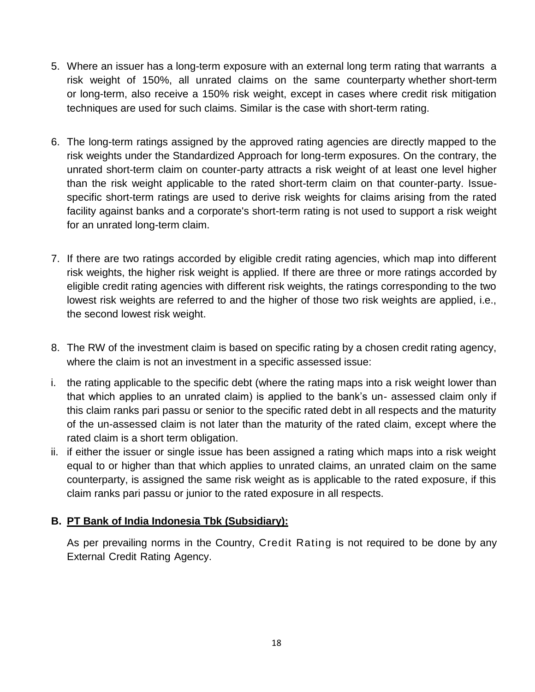- 5. Where an issuer has a long-term exposure with an external long term rating that warrants a risk weight of 150%, all unrated claims on the same counterparty whether short-term or long-term, also receive a 150% risk weight, except in cases where credit risk mitigation techniques are used for such claims. Similar is the case with short-term rating.
- 6. The long-term ratings assigned by the approved rating agencies are directly mapped to the risk weights under the Standardized Approach for long-term exposures. On the contrary, the unrated short-term claim on counter-party attracts a risk weight of at least one level higher than the risk weight applicable to the rated short-term claim on that counter-party. Issuespecific short-term ratings are used to derive risk weights for claims arising from the rated facility against banks and a corporate's short-term rating is not used to support a risk weight for an unrated long-term claim.
- 7. If there are two ratings accorded by eligible credit rating agencies, which map into different risk weights, the higher risk weight is applied. If there are three or more ratings accorded by eligible credit rating agencies with different risk weights, the ratings corresponding to the two lowest risk weights are referred to and the higher of those two risk weights are applied, i.e., the second lowest risk weight.
- 8. The RW of the investment claim is based on specific rating by a chosen credit rating agency, where the claim is not an investment in a specific assessed issue:
- i. the rating applicable to the specific debt (where the rating maps into a risk weight lower than that which applies to an unrated claim) is applied to the bank"s un- assessed claim only if this claim ranks pari passu or senior to the specific rated debt in all respects and the maturity of the un-assessed claim is not later than the maturity of the rated claim, except where the rated claim is a short term obligation.
- ii. if either the issuer or single issue has been assigned a rating which maps into a risk weight equal to or higher than that which applies to unrated claims, an unrated claim on the same counterparty, is assigned the same risk weight as is applicable to the rated exposure, if this claim ranks pari passu or junior to the rated exposure in all respects.

## **B. PT Bank of India Indonesia Tbk (Subsidiary):**

As per prevailing norms in the Country, Credit Rating is not required to be done by any External Credit Rating Agency.